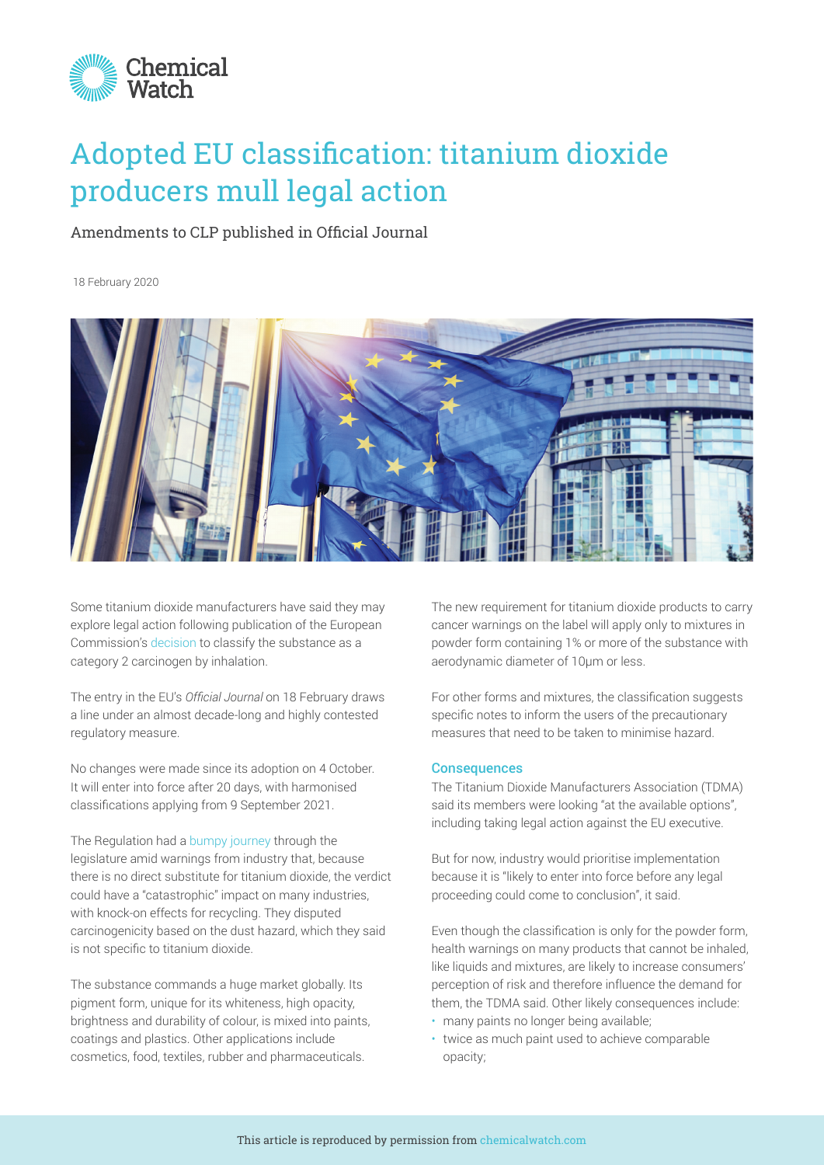

## Adopted EU classification: titanium dioxide producers mull legal action

## Amendments to CLP published in Official Journal

18 February 2020



Some titanium dioxide manufacturers have said they may explore legal action following publication of the European Commission's [decision](https://members.chemicalwatch.com/article?id=83121) to classify the substance as a category 2 carcinogen by inhalation.

The entry in the EU's *Official Journal* on 18 February draws a line under an almost decade-long and highly contested regulatory measure.

No changes were made since its adoption on 4 October. It will enter into force after 20 days, with harmonised classifications applying from 9 September 2021.

The Regulation had a [bumpy journey](https://members.chemicalwatch.com/article?id=91081) through the legislature amid warnings from industry that, because there is no direct substitute for titanium dioxide, the verdict could have a "catastrophic" impact on many industries, with knock-on effects for recycling. They disputed carcinogenicity based on the dust hazard, which they said is not specific to titanium dioxide.

The substance commands a huge market globally. Its pigment form, unique for its whiteness, high opacity, brightness and durability of colour, is mixed into paints, coatings and plastics. Other applications include cosmetics, food, textiles, rubber and pharmaceuticals.

The new requirement for titanium dioxide products to carry cancer warnings on the label will apply only to mixtures in powder form containing 1% or more of the substance with aerodynamic diameter of 10μm or less.

For other forms and mixtures, the classification suggests specific notes to inform the users of the precautionary measures that need to be taken to minimise hazard.

## **Consequences**

The Titanium Dioxide Manufacturers Association (TDMA) said its members were looking "at the available options", including taking legal action against the EU executive.

But for now, industry would prioritise implementation because it is "likely to enter into force before any legal proceeding could come to conclusion", it said.

Even though the classification is only for the powder form, health warnings on many products that cannot be inhaled, like liquids and mixtures, are likely to increase consumers' perception of risk and therefore influence the demand for them, the TDMA said. Other likely consequences include:

- many paints no longer being available;
- twice as much paint used to achieve comparable opacity;